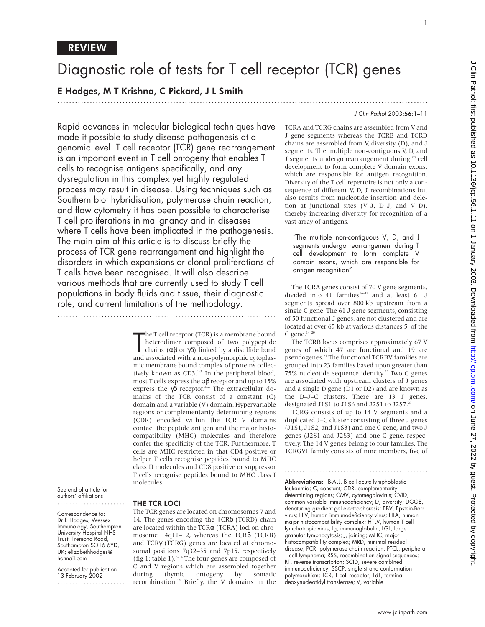# REVIEW

# Diagnostic role of tests for T cell receptor (TCR) genes

.............................................................................................................................

# E Hodges, M T Krishna, C Pickard, J L Smith

1

J Clin Pathol 2003;56:1–11

Rapid advances in molecular biological techniques have made it possible to study disease pathogenesis at a genomic level. T cell receptor (TCR) gene rearrangement is an important event in T cell ontogeny that enables T cells to recognise antigens specifically, and any dysregulation in this complex yet highly regulated process may result in disease. Using techniques such as Southern blot hybridisation, polymerase chain reaction, and flow cytometry it has been possible to characterise T cell proliferations in malignancy and in diseases where T cells have been implicated in the pathogenesis. The main aim of this article is to discuss briefly the process of TCR gene rearrangement and highlight the disorders in which expansions or clonal proliferations of T cells have been recognised. It will also describe various methods that are currently used to study T cell populations in body fluids and tissue, their diagnostic role, and current limitations of the methodology.

..........................................................................

The T cell receptor (TCR) is a membrane bound<br>heterodimer composed of two polypeptide<br>chains  $(\alpha\beta \text{ or } \gamma\delta)$  linked by a disulfide bond<br>and associated with a non-polymorphic cytoplashe T cell receptor (TCR) is a membrane bound heterodimer composed of two polypeptide chains ( $\alpha\beta$  or  $\gamma\delta$ ) linked by a disulfide bond mic membrane bound complex of proteins collectively known as CD3.<sup>1-3</sup> In the peripheral blood, most T cells express the αβ receptor and up to 15% express the γδ receptor.<sup>4-6</sup> The extracellular domains of the TCR consist of a constant (C) domain and a variable (V) domain. Hypervariable regions or complementarity determining regions (CDR) encoded within the TCR V domains contact the peptide antigen and the major histocompatibility (MHC) molecules and therefore confer the specificity of the TCR. Furthermore, T cells are MHC restricted in that CD4 positive or helper T cells recognise peptides bound to MHC class II molecules and CD8 positive or suppressor T cells recognise peptides bound to MHC class I molecules.

See end of article for authors' affiliations .......................

Correspondence to: Dr E Hodges, Wessex Immunology, Southampton University Hospital NHS Trust, Tremona Road, Southampton SO16 6YD, UK; elizabethhodges@ hotmail.com

Accepted for publication 13 February 2002 .......................

# THE TCR LOCI

The TCR genes are located on chromosomes 7 and 14. The genes encoding the ΤCRδ (TCRD) chain are located within the TCRα (TCRA) loci on chromosome 14q11–12, whereas the TCRβ (TCRB) and TCRγ (TCRG) genes are located at chromosomal positions 7q32–35 and 7p15, respectively (fig 1; table 1). $8-14$  The four genes are composed of C and V regions which are assembled together during thymic ontogeny by somatic recombination.15 Briefly, the V domains in the

TCRA and TCRG chains are assembled from V and J gene segments whereas the TCRB and TCRD chains are assembled from V, diversity (D), and J segments. The multiple non-contiguous V, D, and J segments undergo rearrangement during T cell development to form complete V domain exons, which are responsible for antigen recognition. Diversity of the T cell repertoire is not only a consequence of different V, D, J recombinations but also results from nucleotide insertion and deletion at junctional sites (V–J, D–J, and V–D), thereby increasing diversity for recognition of a vast array of antigens.

"The multiple non-contiguous V, D, and J segments undergo rearrangement during T cell development to form complete V domain exons, which are responsible for antigen recognition"

The TCRA genes consist of 70 V gene segments, divided into 41 families<sup>16-19</sup> and at least 61 J segments spread over 800 kb upstream from a single C gene. The 61 J gene segments, consisting of 50 functional J genes, are not clustered and are located at over 65 kb at various distances 5′ of the C gene. $1420$ 

The TCRB locus comprises approximately 67 V genes of which 47 are functional and 19 are pseudogenes.21 The functional TCRBV families are grouped into 23 families based upon greater than 75% nucleotide sequence identity.<sup>22</sup> Two C genes are associated with upstream clusters of J genes and a single D gene (D1 or D2) and are known as the D–J–C clusters. There are 13 J genes, designated J1S1 to J1S6 and J2S1 to J2S7.<sup>2</sup>

TCRG consists of up to 14 V segments and a duplicated J–C cluster consisting of three J genes (J1S1, J1S2, and J1S3) and one C gene, and two J genes (J2S1 and J2S3) and one C gene, respectively. The 14 V genes belong to four families. The TCRGVI family consists of nine members, five of

.................................................

Abbreviations: B-ALL, B cell acute lymphoblastic leukaemia; C, constant; CDR, complementarity determining regions; CMV, cytomegalovirus; CVID, common variable immunodeficiency; D, diversity; DGGE, denaturing gradient gel electrophoresis; EBV, Epstein-Barr virus; HIV, human immunodeficiency virus; HLA, human major histocompatibility complex; HTLV, human T cell lymphotropic virus; Ig, immunoglobulin; LGL, large granular lymphocytosis; J, joining; MHC, major histocompatibility complex; MRD, minimal residual disease; PCR, polymerase chain reaction; PTCL, peripheral T cell lymphoma; RSS, recombination signal sequences; RT, reverse transcription; SCID, severe combined immunodeficiency; SSCP, single strand conformation polymorphism; TCR, T cell receptor; TdT, terminal deoxynucleotidyl transferase; V, variable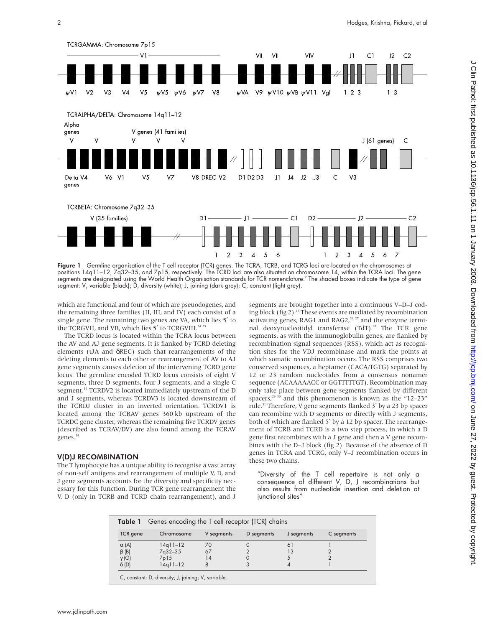

**Figure 1** Germline organisation of the T cell receptor (TCR) genes. The TCRA, TCRB, and TCRG loci are located on the chromosomes at positions 14q11–12, 7q32–35, and 7p15, respectively. The TCRD loci are also situated on chromosome 14, within the TCRA loci. The gene segments are designated using the World Health Organisation standards for TCR nomenclature.7 The shaded boxes indicate the type of gene segment: V, variable (black); D, diversity (white); J, joining (dark grey); C, constant (light grey).

which are functional and four of which are pseuodogenes, and the remaining three families (II, III, and IV) each consist of a single gene. The remaining two genes are VA, which lies 5′ to the TCRGVII, and VB, which lies 5' to TCRGVIII.<sup>24 25</sup>

The TCRD locus is located within the TCRA locus between the AV and AJ gene segments. It is flanked by TCRD deleting elements (ιJA and δREC) such that rearrangements of the deleting elements to each other or rearrangement of AV to AJ gene segments causes deletion of the intervening TCRD gene locus. The germline encoded TCRD locus consists of eight V segments, three D segments, four J segments, and a single C segment.<sup>14</sup> TCRDV2 is located immediately upstream of the D and J segments, whereas TCRDV3 is located downstream of the TCRDJ cluster in an inverted orientation. TCRDV1 is located among the TCRAV genes 360 kb upstream of the TCRDC gene cluster, whereas the remaining five TCRDV genes (described as TCRAV/DV) are also found among the TCRAV genes.<sup>14</sup>

# V(D)J RECOMBINATION

The T lymphocyte has a unique ability to recognise a vast array of non-self antigens and rearrangement of multiple V, D, and J gene segments accounts for the diversity and specificity necessary for this function. During TCR gene rearrangement the V, D (only in TCRB and TCRD chain rearrangement), and J

segments are brought together into a continuous V–D–J coding block (fig 2).<sup>15</sup> These events are mediated by recombination activating genes, RAG1 and RAG2, $2^{6}$  27 and the enzyme terminal deoxynucleotidyl transferase (TdT).<sup>28</sup> The TCR gene segments, as with the immunoglobulin genes, are flanked by recombination signal sequences (RSS), which act as recognition sites for the VDJ recombinase and mark the points at which somatic recombination occurs. The RSS comprises two conserved sequences, a heptamer (CACA/TGTG) separated by 12 or 23 random nucleotides from a consensus nonamer sequence (ACAAAAACC or GGTTTTTGT). Recombination may only take place between gene segments flanked by different spacers, $29\,30$  and this phenomenon is known as the "12–23" rule.<sup>31</sup> Therefore, V gene segments flanked 3' by a 23 bp spacer can recombine with D segments or directly with J segments, both of which are flanked 5′ by a 12 bp spacer. The rearrangement of TCRB and TCRD is a two step process, in which a D gene first recombines with a J gene and then a V gene recombines with the D–J block (fig 2). Because of the absence of D genes in TCRA and TCRG, only V–J recombination occurs in these two chains.

"Diversity of the T cell repertoire is not only a consequence of different V, D, J recombinations but also results from nucleotide insertion and deletion at junctional sites"

| TCR gene     | Chromosome | V segments | D segments | J segments | C segments |
|--------------|------------|------------|------------|------------|------------|
| $\alpha$ (A) | $14q11-12$ | 70         |            | 61         |            |
| $\beta$ (B)  | 7q32-35    | 67         |            | 13         |            |
| $\gamma$ (G) | 7p15       | 14         |            |            |            |
| $\delta$ (D) | $14q11-12$ | 8          |            |            |            |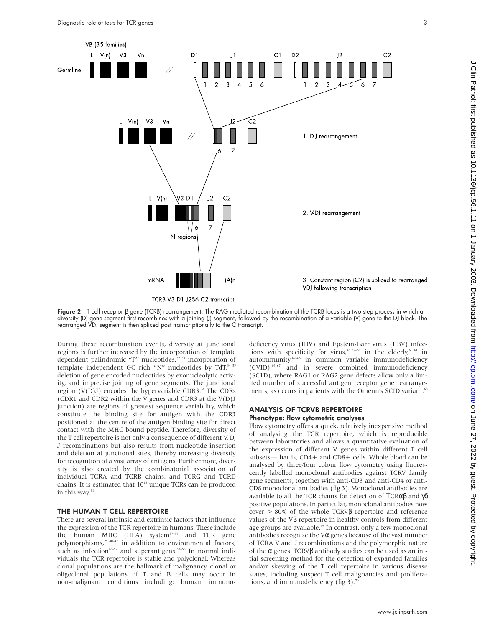

Figure 2 T cell receptor β gene (TCRB) rearrangement. The RAG mediated recombination of the TCRB locus is a two step process in which a diversity (D) gene segment first recombines with a joining (J) segment, followed by the recombination of a variable (V) gene to the DJ block. The rearranged VDJ segment is then spliced post transcriptionally to the C transcript.

During these recombination events, diversity at junctional regions is further increased by the incorporation of template dependent palindromic "P" nucleotides,<sup>32 33</sup> incorporation of template independent GC rich "N" nucleotides by TdT, $3435$ deletion of gene encoded nucleotides by exonucleolytic activity, and imprecise joining of gene segments. The junctional region  $(V(D)J)$  encodes the hypervariable CDR3.<sup>36</sup> The CDRs (CDR1 and CDR2 within the V genes and CDR3 at the  $V(D)J$ junction) are regions of greatest sequence variability, which constitute the binding site for antigen with the CDR3 positioned at the centre of the antigen binding site for direct contact with the MHC bound peptide. Therefore, diversity of the T cell repertoire is not only a consequence of different V, D, J recombinations but also results from nucleotide insertion and deletion at junctional sites, thereby increasing diversity for recognition of a vast array of antigens. Furthermore, diversity is also created by the combinatorial association of individual TCRA and TCRB chains, and TCRG and TCRD chains. It is estimated that  $10^{15}$  unique TCRs can be produced in this way. $31$ 

# THE HUMAN T CELL REPERTOIRE

There are several intrinsic and extrinsic factors that influence the expression of the TCR repertoire in humans. These include the human MHC (HLA) system<sup>37-39</sup> and TCR gene polymorphisms,<sup>25</sup> <sup>40-47</sup> in addition to environmental factors, such as infection<sup>48–52</sup> and superantigens.<sup>53–56</sup> In normal individuals the TCR repertoire is stable and polyclonal. Whereas clonal populations are the hallmark of malignancy, clonal or oligoclonal populations of T and B cells may occur in non-malignant conditions including: human immunodeficiency virus (HIV) and Epstein-Barr virus (EBV) infections with specificity for virus,<sup>48 57-59</sup> in the elderly,<sup>60 61</sup> in autoimmunity,<sup>62-65</sup> in common variable immunodeficiency (CVID),<sup>66 67</sup> and in severe combined immunodeficiency (SC1D), where RAG1 or RAG2 gene defects allow only a limited number of successful antigen receptor gene rearrangements, as occurs in patients with the Omenn's SCID variant.<sup>68</sup>

# ANALYSIS OF TCRVB REPERTOIRE Phenotype: flow cytometric analyses

Flow cytometry offers a quick, relatively inexpensive method of analysing the TCR repertoire, which is reproducible between laboratories and allows a quantitative evaluation of the expression of different V genes within different T cell subsets—that is, CD4+ and CD8+ cells. Whole blood can be analysed by three/four colour flow cytometry using fluorescently labelled monoclonal antibodies against TCRV family gene segments, together with anti-CD3 and anti-CD4 or anti-CD8 monoclonal antibodies (fig 3). Monoclonal antibodies are available to all the TCR chains for detection of ΤCRαβ and γδ positive populations. In particular, monoclonal antibodies now cover > 80% of the whole TCRVβ repertoire and reference values of the Vβ repertoire in healthy controls from different age groups are available.<sup>69</sup> In contrast, only a few monoclonal antibodies recognise the Vα genes because of the vast number of TCRA V and J recombinations and the polymorphic nature of the α genes. TCRVβ antibody studies can be used as an initial screening method for the detection of expanded families and/or skewing of the T cell repertoire in various disease states, including suspect T cell malignancies and proliferations, and immunodeficiency (fig 3).<sup>70</sup>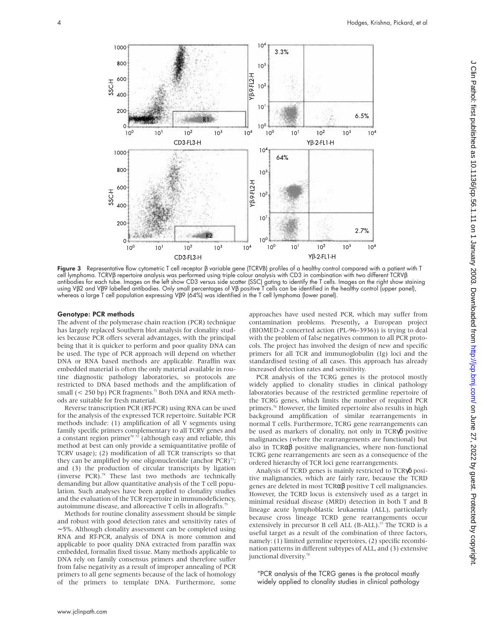

Figure 3 Representative flow cytometric T cell receptor β variable gene (TCRVB) profiles of a healthy control compared with a patient with T cell lymphoma. TCRVβ repertoire analysis was performed using triple colour analysis with CD3 in combination with two different TCRVβ antibodies for each tube. Images on the left show CD3 versus side scatter (SSC) gating to identify the T cells. Images on the right show staining using Vβ2 and Vβ9 labelled antibodies. Only small percentages of Vβ positive T cells can be identified in the healthy control (upper panel), whereas a large T cell population expressing Vβ9 (64%) was identified in the T cell lymphoma (lower panel).

### Genotype: PCR methods

The advent of the polymerase chain reaction (PCR) technique has largely replaced Southern blot analysis for clonality studies because PCR offers several advantages, with the principal being that it is quicker to perform and poor quality DNA can be used. The type of PCR approach will depend on whether DNA or RNA based methods are applicable. Paraffin wax embedded material is often the only material available in routine diagnostic pathology laboratories, so protocols are restricted to DNA based methods and the amplification of small ( $<$  250 bp) PCR fragments.<sup>71</sup> Both DNA and RNA methods are suitable for fresh material.

Reverse transcription PCR (RT-PCR) using RNA can be used for the analysis of the expressed TCR repertoire. Suitable PCR methods include: (1) amplification of all V segments using family specific primers complementary to all TCRV genes and a constant region primer<sup>70 72</sup> (although easy and reliable, this method at best can only provide a semiquantitative profile of TCRV usage); (2) modification of all TCR transcripts so that they can be amplified by one oligonucleotide (anchor  $PCR$ )<sup>73</sup>; and (3) the production of circular transcripts by ligation (inverse PCR).74 These last two methods are technically demanding but allow quantitative analysis of the T cell population. Such analyses have been applied to clonality studies and the evaluation of the TCR repertoire in immunodeficiency, autoimmune disease, and alloreactive T cells in allografts.<sup>75</sup>

Methods for routine clonality assessment should be simple and robust with good detection rates and sensitivity rates of ∼ 5%. Although clonality assessment can be completed using RNA and RT-PCR, analysis of DNA is more common and applicable to poor quality DNA extracted from paraffin wax embedded, formalin fixed tissue. Many methods applicable to DNA rely on family consensus primers and therefore suffer from false negativity as a result of improper annealing of PCR primers to all gene segments because of the lack of homology of the primers to template DNA. Furthermore, some

approaches have used nested PCR, which may suffer from contamination problems. Presently**,** a European project (BIOMED-2 concerted action (PL-96–3936)) is trying to deal with the problem of false negatives common to all PCR protocols. The project has involved the design of new and specific primers for all TCR and immunoglobulin (Ig) loci and the standardised testing of all cases. This approach has already increased detection rates and sensitivity.

PCR analysis of the TCRG genes is the protocol mostly widely applied to clonality studies in clinical pathology laboratories because of the restricted germline repertoire of the TCRG genes, which limits the number of required PCR primers.<sup>76</sup> However, the limited repertoire also results in high background amplification of similar rearrangements in normal T cells. Furthermore, TCRG gene rearrangements can be used as markers of clonality, not only in TCRγδ positive malignancies (where the rearrangements are functional) but also in TCRαβ positive malignancies, where non-functional TCRG gene rearrangements are seen as a consequence of the ordered hierarchy of TCR loci gene rearrangements.

Analysis of TCRD genes is mainly restricted to TCRγδ positive malignancies, which are fairly rare, because the TCRD genes are deleted in most TCRαβ positive T cell malignancies. However, the TCRD locus is extensively used as a target in minimal residual disease (MRD) detection in both T and B lineage acute lymphoblastic leukaemia (ALL), particularly because cross lineage TCRD gene rearrangements occur extensively in precursor B cell ALL (B-ALL). $\frac{77}{10}$  The TCRD is a useful target as a result of the combination of three factors, namely: (1) limited germline repertoires, (2) specific recombination patterns in different subtypes of ALL, and (3) extensive junctional diversity.<sup>78</sup>

"PCR analysis of the TCRG genes is the protocol mostly widely applied to clonality studies in clinical pathology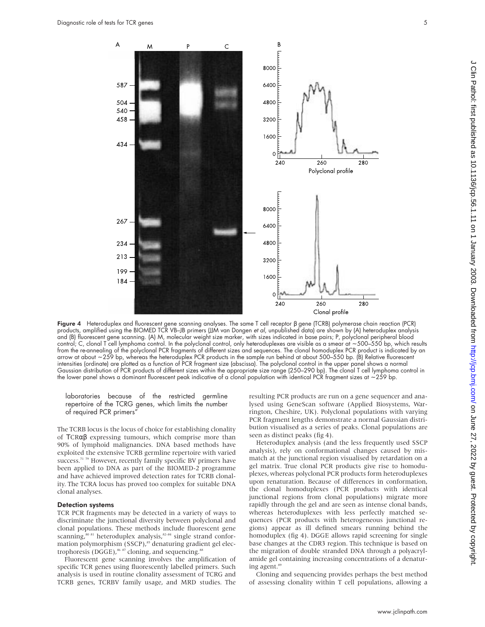

Figure 4 Heteroduplex and fluorescent gene scanning analyses. The same T cell receptor β gene (TCRB) polymerase chain reaction (PCR) products, amplified using the BIOMED TCR VB–JB primers (JJM van Dongen et al, unpublished data) are shown by (A) heteroduplex analysis and (B) fluorescent gene scanning. (A) M, molecular weight size marker, with sizes indicated in base pairs; P, polyclonal peripheral blood control; C, clonal T cell lymphoma control. In the polyclonal control, only heteroduplexes are visible as a smear at ∼ 500–550 bp, which results from the re-annealing of the polyclonal PCR fragments of different sizes and sequences. The clonal homoduplex PCR product is indicated by an arrow at about ∼ 259 bp, whereas the heteroduplex PCR products in the sample run behind at about 500–550 bp. (B) Relative fluorescent intensities (ordinate) are plotted as a function of PCR fragment size (abscissa). The polyclonal control in the upper panel shows a normal Gaussian distribution of PCR products of different sizes within the appropriate size range (250–290 bp). The clonal T cell lymphoma control in the lower panel shows a dominant fluorescent peak indicative of a clonal population with identical PCR fragment sizes at ∼ 259 bp.

laboratories because of the restricted germline repertoire of the TCRG genes, which limits the number of required PCR primers"

The TCRB locus is the locus of choice for establishing clonality of ΤCRαβ expressing tumours, which comprise more than 90% of lymphoid malignancies. DNA based methods have exploited the extensive TCRB germline repertoire with varied success.<sup>71</sup> <sup>79</sup> However, recently family specific BV primers have been applied to DNA as part of the BIOMED-2 programme and have achieved improved detection rates for TCRB clonality. The TCRA locus has proved too complex for suitable DNA clonal analyses.

#### Detection systems

TCR PCR fragments may be detected in a variety of ways to discriminate the junctional diversity between polyclonal and clonal populations. These methods include fluorescent gene scanning,<sup>80 81</sup> heteroduplex analysis,<sup>82-84</sup> single strand conformation polymorphism (SSCP),<sup>85</sup> denaturing gradient gel electrophoresis (DGGE),<sup>86 87</sup> cloning, and sequencing.<sup>88</sup>

Fluorescent gene scanning involves the amplification of specific TCR genes using fluorescently labelled primers. Such analysis is used in routine clonality assessment of TCRG and TCRB genes, TCRBV family usage, and MRD studies. The resulting PCR products are run on a gene sequencer and analysed using GeneScan software (Applied Biosystems, Warrington, Cheshire, UK). Polyclonal populations with varying PCR fragment lengths demonstrate a normal Gaussian distribution visualised as a series of peaks. Clonal populations are seen as distinct peaks (fig 4).

Heteroduplex analysis (and the less frequently used SSCP analysis), rely on conformational changes caused by mismatch at the junctional region visualised by retardation on a gel matrix. True clonal PCR products give rise to homoduplexes, whereas polyclonal PCR products form heteroduplexes upon renaturation. Because of differences in conformation, the clonal homoduplexes (PCR products with identical junctional regions from clonal populations) migrate more rapidly through the gel and are seen as intense clonal bands, whereas heteroduplexes with less perfectly matched sequences (PCR products with heterogeneous junctional regions) appear as ill defined smears running behind the homoduplex (fig 4). DGGE allows rapid screening for single base changes at the CDR3 region. This technique is based on the migration of double stranded DNA through a polyacrylamide gel containing increasing concentrations of a denaturing agent.<sup>89</sup>

Cloning and sequencing provides perhaps the best method of assessing clonality within T cell populations, allowing a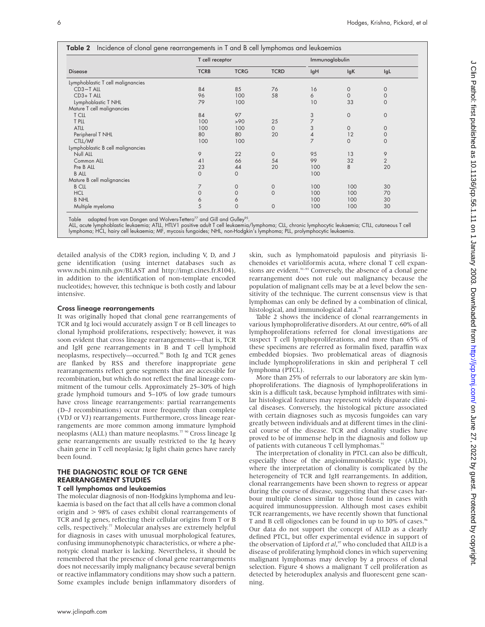|                                   | T cell receptor |              |             | Immunoglobulin           |              |                |
|-----------------------------------|-----------------|--------------|-------------|--------------------------|--------------|----------------|
| <b>Disease</b>                    | <b>TCRB</b>     | <b>TCRG</b>  | <b>TCRD</b> | lgH                      | lgK          | lgL            |
| Lymphoblastic T cell malignancies |                 |              |             |                          |              |                |
| CD3-TALL                          | 84              | 85           | 76          | 16                       | 0            | 0              |
| $CD3+T$ ALL                       | 96              | 100          | 58          | 6                        | $\Omega$     | 0              |
| Lymphoblastic T NHL               | 79              | 100          |             | 10                       | 33           | $\mathbf{O}$   |
| Mature T cell malignancies        |                 |              |             |                          |              |                |
| T CLL                             | 84              | 97           |             | 3                        | $\mathbf{O}$ | $\mathbf{O}$   |
| T PLL                             | 100             | >90          | 25          | $\overline{7}$           |              |                |
| <b>ATLL</b>                       | 100             | 100          | $\mathbf 0$ | 3                        | $\mathbf{O}$ | 0              |
| Peripheral T NHL                  | 80              | 80           | 20          | $\overline{\mathcal{A}}$ | 12           | $\mathbf 0$    |
| CTLL/MF                           | 100             | 100          |             | $\overline{7}$           | $\mathbf{O}$ | $\mathbf 0$    |
| Lymphoblastic B cell malignancies |                 |              |             |                          |              |                |
| Null ALL                          | 9               | 22           | $\mathbf 0$ | 95                       | 13           | 9              |
| Common ALL                        | 41              | 66           | 54          | 99                       | 32           | $\overline{2}$ |
| Pre B ALL                         | 23              | 44           | 20          | 100                      | 8            | 20             |
| <b>B ALL</b>                      | $\Omega$        | $\mathbf{O}$ |             | 100                      |              |                |
| Mature B cell malignancies        |                 |              |             |                          |              |                |
| <b>B CLL</b>                      | $\overline{7}$  | $\mathbf 0$  | 0           | 100                      | 100          | 30             |
| <b>HCL</b>                        | $\Omega$        | $\mathbf 0$  | $\mathbf 0$ | 100                      | 100          | 70             |
| <b>B NHL</b>                      | 6               | 6            |             | 100                      | 100          | 30             |
| Multiple myeloma                  | 5               | $\mathbf 0$  | 0           | 100                      | 100          | 30             |

Table adapted from van Dongen and Wolvers-Tettero<sup>77</sup> and Gill and Gulley<sup>95</sup>

ALL, acute lymphoblastic leukaemia; ATLL, HTLV1 positive adult T cell leukaemia/lymphoma; CLL, chronic lymphocytic leukaemia; CTLL, cutaneous T cell lymphoma; HCL, hairy cell leukaemia; MF, mycosis fungoides; NHL, non-Hodgkin's lymphoma; PLL, prolymphocytic leukaemia.

detailed analysis of the CDR3 region, including V, D, and J gene identification (using internet databases such as www.ncbi.nim.nih.gov/BLAST and http://imgt.cines.fr.8104), in addition to the identification of non-template encoded nucleotides; however, this technique is both costly and labour intensive.

#### Cross lineage rearrangements

It was originally hoped that clonal gene rearrangements of TCR and Ig loci would accurately assign T or B cell lineages to clonal lymphoid proliferations, respectively; however, it was soon evident that cross lineage rearrangements—that is, TCR and IgH gene rearrangements in B and T cell lymphoid neoplasms, respectively—occurred.<sup>90</sup> Both Ig and TCR genes are flanked by RSS and therefore inappropriate gene rearrangements reflect gene segments that are accessible for recombination, but which do not reflect the final lineage commitment of the tumour cells. Approximately 25–30% of high grade lymphoid tumours and 5–10% of low grade tumours have cross lineage rearrangements: partial rearrangements (D–J recombinations) occur more frequently than complete (VDJ or VJ) rearrangements. Furthermore, cross lineage rearrangements are more common among immature lymphoid neoplasms (ALL) than mature neoplasms.<sup>77</sup> 90 Cross lineage Ig gene rearrangements are usually restricted to the Ig heavy chain gene in T cell neoplasia; Ig light chain genes have rarely been found.

# THE DIAGNOSTIC ROLE OF TCR GENE REARRANGEMENT STUDIES

# T cell lymphomas and leukaemias

The molecular diagnosis of non-Hodgkins lymphoma and leukaemia is based on the fact that all cells have a common clonal origin and > 98% of cases exhibit clonal rearrangements of TCR and Ig genes, reflecting their cellular origins from T or B cells, respectively.<sup>77</sup> Molecular analyses are extremely helpful for diagnosis in cases with unusual morphological features, confusing immunophenotypic characteristics, or where a phenotypic clonal marker is lacking. Nevertheless, it should be remembered that the presence of clonal gene rearrangements does not necessarily imply malignancy because several benign or reactive inflammatory conditions may show such a pattern. Some examples include benign inflammatory disorders of

skin, such as lymphomatoid papulosis and pityriasis lichenoides et varioliformis acuta, where clonal T cell expansions are evident.<sup>91-93</sup> Conversely, the absence of a clonal gene rearrangement does not rule out malignancy because the population of malignant cells may be at a level below the sensitivity of the technique. The current consensus view is that lymphomas can only be defined by a combination of clinical, histological, and immunological data.<sup>94</sup>

Table 2 shows the incidence of clonal rearrangements in various lymphoproliferative disorders. At our centre, 60% of all lymphoproliferations referred for clonal investigations are suspect T cell lymphoproliferations, and more than 65% of these specimens are referred as formalin fixed, paraffin wax embedded biopsies. Two problematical areas of diagnosis include lymphoproliferations in skin and peripheral T cell lymphoma (PTCL).

More than 25% of referrals to our laboratory are skin lymphoproliferations. The diagnosis of lymphoproliferations in skin is a difficult task, because lymphoid infiltrates with similar histological features may represent widely disparate clinical diseases. Conversely, the histological picture associated with certain diagnoses such as mycosis fungoides can vary greatly between individuals and at different times in the clinical course of the disease. TCR and clonality studies have proved to be of immense help in the diagnosis and follow up of patients with cutaneous T cell lymphomas.<sup>91</sup>

The interpretation of clonality in PTCL can also be difficult, especially those of the angioimmunoblastic type (AILD), where the interpretation of clonality is complicated by the heterogeneity of TCR and IgH rearrangements. In addition, clonal rearrangements have been shown to regress or appear during the course of disease, suggesting that these cases harbour multiple clones similar to those found in cases with acquired immunosuppression. Although most cases exhibit TCR rearrangements, we have recently shown that functional T and B cell oligoclones can be found in up to 30% of cases.<sup>96</sup> Our data do not support the concept of AILD as a clearly defined PTCL, but offer experimental evidence in support of the observation of Lipford et al,<sup>97</sup> who concluded that AILD is a disease of proliferating lymphoid clones in which supervening malignant lymphomas may develop by a process of clonal selection. Figure 4 shows a malignant T cell proliferation as detected by heteroduplex analysis and fluorescent gene scanning.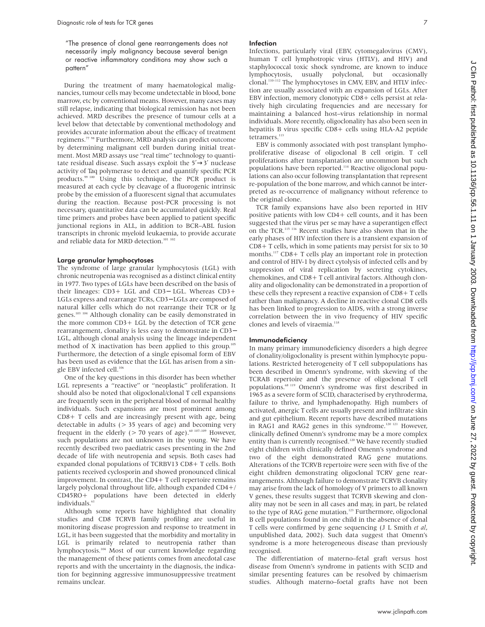"The presence of clonal gene rearrangements does not necessarily imply malignancy because several benign or reactive inflammatory conditions may show such a pattern"

During the treatment of many haematological malignancies, tumour cells may become undetectable in blood, bone marrow, etc by conventional means. However, many cases may still relapse, indicating that biological remission has not been achieved. MRD describes the presence of tumour cells at a level below that detectable by conventional methodology and provides accurate information about the efficacy of treatment regimens.77 98 Furthermore, MRD analysis can predict outcome by determining malignant cell burden during initial treatment. Most MRD assays use "real time" technology to quantitate residual disease. Such assays exploit the 5′→3′ nuclease activity of Taq polymerase to detect and quantify specific PCR products.<sup>99 100</sup> Using this technique, the PCR product is measured at each cycle by cleavage of a fluorogenic intrinsic probe by the emission of a fluorescent signal that accumulates during the reaction. Because post-PCR processing is not necessary, quantitative data can be accumulated quickly. Real time primers and probes have been applied to patient specific junctional regions in ALL, in addition to BCR–ABL fusion transcripts in chronic myeloid leukaemia, to provide accurate and reliable data for MRD detection.<sup>101 102</sup>

# Large granular lymphocytoses

The syndrome of large granular lymphocytosis (LGL) with chronic neutropenia was recognised as a distinct clinical entity in 1977. Two types of LGLs have been described on the basis of their lineages: CD3+ LGL and CD3− LGL. Whereas CD3+ LGLs express and rearrange TCRs, CD3− LGLs are composed of natural killer cells which do not rearrange their TCR or Ig genes.<sup>103 104</sup> Although clonality can be easily demonstrated in the more common CD3+ LGL by the detection of TCR gene rearrangement, clonality is less easy to demonstrate in CD3− LGL, although clonal analysis using the lineage independent method of X inactivation has been applied to this group.<sup>105</sup> Furthermore, the detection of a single episomal form of EBV has been used as evidence that the LGL has arisen from a single EBV infected cell.<sup>106</sup>

One of the key questions in this disorder has been whether LGL represents a "reactive" or "neoplastic" proliferation. It should also be noted that oligoclonal/clonal T cell expansions are frequently seen in the peripheral blood of normal healthy individuals. Such expansions are most prominent among CD8+ T cells and are increasingly present with age, being detectable in adults (> 35 years of age) and becoming very frequent in the elderly ( $> 70$  years of age).<sup>60 107–109</sup> However, such populations are not unknown in the young. We have recently described two paediatric cases presenting in the 2nd decade of life with neutropenia and sepsis. Both cases had expanded clonal populations of TCRBV13 CD8+ T cells. Both patients received cyclosporin and showed pronounced clinical improvement. In contrast, the CD4+ T cell repertoire remains largely polyclonal throughout life, although expanded CD4+/ CD45RO+ populations have been detected in elderly individuals.<sup>61</sup>

Although some reports have highlighted that clonality studies and CD8 TCRVB family profiling are useful in monitoring disease progression and response to treatment in LGL, it has been suggested that the morbidity and mortality in LGL is primarily related to neutropenia rather than lymphocytosis.<sup>104</sup> Most of our current knowledge regarding the management of these patients comes from anecdotal case reports and with the uncertainty in the diagnosis, the indication for beginning aggressive immunosuppressive treatment remains unclear.

# Infection

Infections, particularly viral (EBV, cytomegalovirus (CMV), human T cell lymphotropic virus (HTLV), and HIV) and staphylococcal toxic shock syndrome, are known to induce lymphocytosis, usually polyclonal, but occasionally clonal.110–112 The lymphocytoses in CMV, EBV, and HTLV infection are usually associated with an expansion of LGLs. After EBV infection, memory clonotypic CD8+ cells persist at relatively high circulating frequencies and are necessary for maintaining a balanced host–virus relationship in normal individuals. More recently, oligoclonality has also been seen in hepatitis B virus specific CD8+ cells using HLA-A2 peptide tetramers.  $^{\rm 113}$ 

EBV is commonly associated with post transplant lymphoproliferative disease of oligoclonal B cell origin. T cell proliferations after transplantation are uncommon but such populations have been reported.<sup>114</sup> Reactive oligoclonal populations can also occur following transplantation that represent re-population of the bone marrow, and which cannot be interpreted as re-occurrence of malignancy without reference to the original clone.

TCR family expansions have also been reported in HIV positive patients with low CD4+ cell counts, and it has been suggested that the virus per se may have a superantigen effect on the TCR.115 116 Recent studies have also shown that in the early phases of HIV infection there is a transient expansion of CD8+ T cells, which in some patients may persist for six to 30 months.<sup>117</sup> CD8+ T cells play an important role in protection and control of HIV-1 by direct cytolysis of infected cells and by suppression of viral replication by secreting cytokines, chemokines, and CD8+ T cell antiviral factors. Although clonality and oligoclonality can be demonstrated in a proportion of these cells they represent a reactive expansion of CD8+ T cells rather than malignancy. A decline in reactive clonal CD8 cells has been linked to progression to AIDS, with a strong inverse correlation between the in vivo frequency of HIV specific clones and levels of viraemia.<sup>118</sup>

### Immunodeficiency

In many primary immunodeficiency disorders a high degree of clonality/oligoclonality is present within lymphocyte populations. Restricted heterogeneity of T cell subpopulations has been described in Omenn's syndrome, with skewing of the TCRAB repertoire and the presence of oligoclonal T cell populations.68 119 Omenn's syndrome was first described in 1965 as a severe form of SCID, characterised by erythroderma, failure to thrive, and lymphadenopathy. High numbers of activated, anergic T cells are usually present and infiltrate skin and gut epithelium. Recent reports have described mutations in RAG1 and RAG2 genes in this syndrome.<sup>120 121</sup> However, clinically defined Omenn's syndrome may be a more complex entity than is currently recognised.<sup>120</sup> We have recently studied eight children with clinically defined Omenn's syndrome and two of the eight demonstrated RAG gene mutations. Alterations of the TCRVB repertoire were seen with five of the eight children demonstrating oligoclonal TCRV gene rearrangements. Although failure to demonstrate TCRVB clonality may arise from the lack of homology of V primers to all known V genes, these results suggest that TCRVB skewing and clonality may not be seen in all cases and may, in part, be related to the type of RAG gene mutation.<sup>123</sup> Furthermore, oligoclonal B cell populations found in one child in the absence of clonal T cells were confirmed by gene sequencing (J L Smith *et al*, unpublished data, 2002). Such data suggest that Omenn's syndrome is a more heterogeneous disease than previously recognised.

The differentiation of materno–fetal graft versus host disease from Omenn's syndrome in patients with SCID and similar presenting features can be resolved by chimaerism studies. Although materno–foetal grafts have not been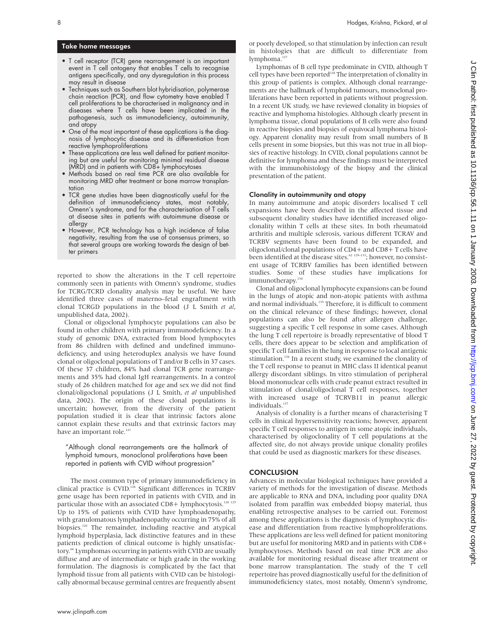# Take home messages

- T cell receptor (TCR) gene rearrangement is an important event in T cell ontogeny that enables T cells to recognise antigens specifically, and any dysregulation in this process may result in disease
- Techniques such as Southern blot hybridisation, polymerase chain reaction (PCR), and flow cytometry have enabled T cell proliferations to be characterised in malignancy and in diseases where T cells have been implicated in the pathogenesis, such as immunodeficiency, autoimmunity, and atopy
- One of the most important of these applications is the diagnosis of lymphocytic disease and its differentiation from reactive lymphoproliferations
- These applications are less well defined for patient monitoring but are useful for monitoring minimal residual disease (MRD) and in patients with CD8+ lymphocytoses
- Methods based on real time PCR are also available for monitoring MRD after treatment or bone marrow transplantation
- TCR gene studies have been diagnostically useful for the definition of immunodeficiency states, most notably, Omenn's syndrome, and for the characterisation of T cells at disease sites in patients with autoimmune disease or allergy
- However, PCR technology has a high incidence of false negativity, resulting from the use of consensus primers, so that several groups are working towards the design of better primers

reported to show the alterations in the T cell repertoire commonly seen in patients with Omenn's syndrome, studies for TCRG/TCRD clonality analysis may be useful. We have identified three cases of materno–fetal engraftment with clonal TCRGD populations in the blood (J L Smith *et al*, unpublished data, 2002).

Clonal or oligoclonal lymphocyte populations can also be found in other children with primary immunodeficiency. In a study of genomic DNA, extracted from blood lymphocytes from 86 children with defined and undefined immunodeficiency, and using heteroduplex analysis we have found clonal or oligoclonal populations of T and/or B cells in 37 cases. Of these 37 children, 84% had clonal TCR gene rearrangements and 35% had clonal IgH rearrangements. In a control study of 26 children matched for age and sex we did not find clonal/oligoclonal populations (J L Smith, *et al* unpublished data, 2002). The origin of these clonal populations is uncertain; however, from the diversity of the patient population studied it is clear that intrinsic factors alone cannot explain these results and that extrinsic factors may have an important role.<sup>121</sup>

"Although clonal rearrangements are the hallmark of lymphoid tumours, monoclonal proliferations have been reported in patients with CVID without progression"

The most common type of primary immunodeficiency in clinical practice is CVID.124 Significant differences in TCRBV gene usage has been reported in patients with CVID, and in particular those with an associated CD8+ lymphocytosis.<sup>124 125</sup> Up to 15% of patients with CVID have lymphoadenopathy, with granulomatous lymphadenopathy occurring in 75% of all biopsies.<sup>126</sup> The remainder, including reactive and atypical lymphoid hyperplasia, lack distinctive features and in these patients prediction of clinical outcome is highly unsatisfactory.<sup>66</sup> Lymphomas occurring in patients with CVID are usually diffuse and are of intermediate or high grade in the working formulation. The diagnosis is complicated by the fact that lymphoid tissue from all patients with CVID can be histologically abnormal because germinal centres are frequently absent

or poorly developed, so that stimulation by infection can result in histologies that are difficult to differentiate from lymphoma.<sup>12</sup>

Lymphomas of B cell type predominate in CVID, although T cell types have been reported<sup>128</sup> The interpretation of clonality in this group of patients is complex. Although clonal rearrangements are the hallmark of lymphoid tumours, monoclonal proliferations have been reported in patients without progression. In a recent UK study, we have reviewed clonality in biopsies of reactive and lymphoma histologies. Although clearly present in lymphoma tissue, clonal populations of B cells were also found in reactive biopsies and biopsies of equivocal lymphoma histology. Apparent clonality may result from small numbers of B cells present in some biopsies, but this was not true in all biopsies of reactive histology. In CVID, clonal populations cannot be definitive for lymphoma and these findings must be interpreted with the immunohistology of the biopsy and the clinical presentation of the patient.

# Clonality in autoimmunity and atopy

In many autoimmune and atopic disorders localised T cell expansions have been described in the affected tissue and subsequent clonality studies have identified increased oligoclonality within T cells at these sites. In both rheumatoid arthritis and multiple sclerosis, various different TCRAV and TCRBV segments have been found to be expanded, and oligoclonal/clonal populations of CD4+ and CD8+ T cells have been identified at the disease sites. $62$  129–133; however, no consistent usage of TCRBV families has been identified between studies. Some of these studies have implications for immunotherapy.<sup>134</sup>

Clonal and oligoclonal lymphocyte expansions can be found in the lungs of atopic and non-atopic patients with asthma and normal individuals.<sup>135</sup> Therefore, it is difficult to comment on the clinical relevance of these findings; however, clonal populations can also be found after allergen challenge, suggesting a specific T cell response in some cases. Although the lung T cell repertoire is broadly representative of blood T cells, there does appear to be selection and amplification of specific T cell families in the lung in response to local antigenic stimulation.<sup>136</sup> In a recent study, we examined the clonality of the T cell response to peanut in MHC class II identical peanut allergy discordant siblings. In vitro stimulation of peripheral blood mononuclear cells with crude peanut extract resulted in stimulation of clonal/oligoclonal T cell responses, together with increased usage of TCRVB11 in peanut allergic individuals.<sup>137</sup>

Analysis of clonality is a further means of characterising T cells in clinical hypersensitivity reactions; however, apparent specific T cell responses to antigen in some atopic individuals, characterised by oligoclonality of T cell populations at the affected site, do not always provide unique clonality profiles that could be used as diagnostic markers for these diseases.

# **CONCLUSION**

Advances in molecular biological techniques have provided a variety of methods for the investigation of disease. Methods are applicable to RNA and DNA, including poor quality DNA isolated from paraffin wax embedded biopsy material, thus enabling retrospective analyses to be carried out. Foremost among these applications is the diagnosis of lymphocytic disease and differentiation from reactive lymphoproliferations. These applications are less well defined for patient monitoring but are useful for monitoring MRD and in patients with CD8+ lymphocytoses. Methods based on real time PCR are also available for monitoring residual disease after treatment or bone marrow transplantation. The study of the T cell repertoire has proved diagnostically useful for the definition of immunodeficiency states, most notably, Omenn's syndrome,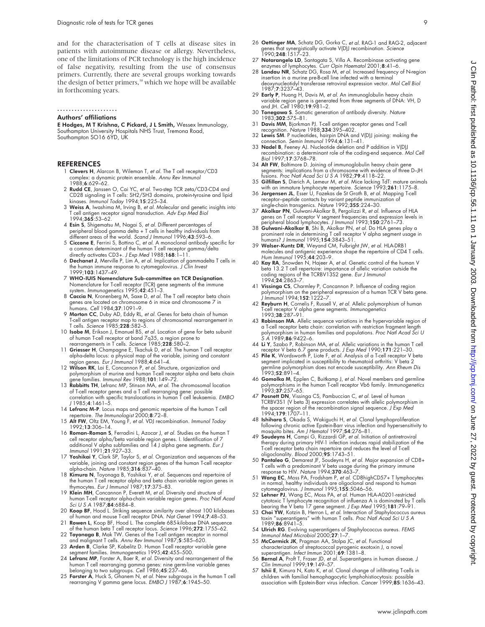and for the characterisation of T cells at disease sites in patients with autoimmune disease or allergy. Nevertheless, one of the limitations of PCR technology is the high incidence of false negativity, resulting from the use of consensus primers. Currently, there are several groups working towards the design of better primers,<sup>38</sup> which we hope will be available in forthcoming years.

#### ..................... Authors' affiliations

E Hodges, M T Krishna, C Pickard, J L Smith, Wessex Immunology, Southampton University Hospitals NHS Trust, Tremona Road, Southampton SO16 6YD, UK

#### **REFERENCES**

- 1 Clevers H, Alarcon B, Wileman T, et al. The T cell receptor/CD3 complex: a dynamic protein ensemble. Annu Rev Immunol 1988;6:629–62.
- 2 Rudd CE, Janssen O, Cai YC, et al. Two-step TCR zeta/CD3-CD4 and CD28 signaling in T cells: SH2/SH3 domains, protein-tyrosine and lipid kinases. Immunol Today 1994;15:225–34.
- 3 Weiss A, Iwashima M, Irving B, et al. Molecular and genetic insights into cell antigen receptor signal transduction. Adv Exp Med Biol 1994;365:53–62.
- 4 Esin S, Shigematsu M, Nagai S, et al. Different percentages of peripheral blood gamma delta + T cells in healthy individuals from<br>different areas of the world. *Scand J Immunol* 1996;**43**:593–6.
- 5 Ciccone E, Ferrini S, Bottino C, et al. A monoclonal antibody specific for a common determinant of the human T cell receptor gamma/delta directly activates CD3+. J Exp Med 1988;168: $1-11$
- 6 **Dechanet J**, Merville P, Lim A, *et al.* Implication of gammadelta T cells in the human immune response to cytomegalovirus. *J Clin Invest* 1999;103:1437–49.
- 7 WHO-IUIS Nomenclature Sub-committee on TCR Designation. Nomenclature for T-cell receptor (TCR) gene segments of the immune system. Immunogenetics 1995;42:451-3.
- 8 Caccia N, Kronenberg M, Saxe D, et al. The T cell receptor beta chain genes are located on chromosome 6 in mice and chromosome 7 in humans. Cell 1984;37:1091–9.
- 9 Morton CC, Duby AD, Eddy RL, et al. Genes for beta chain of human T-cell antigen receptor map to regions of chromosomal rearrangement in T cells. Science 1985;228:582-5.
- 10 Isobe M, Erikson J, Emanuel BS, et al. Location of gene for beta subunit of human T-cell receptor at band 7q35, a region prone to<br>rearrangements in T cells. *Science* 1985;**228**:580–2.<br>11 **Griesser H**, Champagne E, Tkachuk D, *et al*. The human T cell receptor
- alpha-delta locus: a physical map of the variable, joining and constant region genes. Eur J Immunol 1988;4:641–4.
- 12 Wilson RK, Lai E, Concannon P, et al. Structure, organization and polymorphism of murine and human T-cell receptor alpha and beta chain gene families. Immunol Rev 1988;101:149–72.
- 13 Rabbitts TH, Lefranc MP, Stinson MA, et al. The chromosomal location of T-cell receptor genes and a T cell rearranging gene: possible correlation with specific translocations in human T cell leukaemia. EMBO J 1985;4:1461–5.
- 14 Lefranc M-P. Locus maps and genomic repertoire of the human T cell repertoire. The Immunologist 2000;8:72–8.
- 15 Alt FW, Oltz EM, Young F, et al. VDJ recombination. Immunol Today 1992;13:306–14.
- 16 Roman-Roman S, Ferradini L, Azocar J, et al. Studies on the human T cell receptor alpha/beta variable region genes. I. Identification of 7 additional V alpha subfamilies and 14 J alpha gene segments. Eur J Immunol 1991;21:927–33.
- 17 Yoshikai Y, Clark SP, Taylor S, et al. Organization and sequences of the variable, joining and constant region genes of the human T-cell receptor<br>alpha-chain. Nature 1985;**316**:837–40.<br>18 **Kimura N**, Toyonaga B, Yoshikai Y, *et al*. Sequences and repertoire of
- the human T cell receptor alpha and beta chain variable region genes in thymocytes. Eur J Immunol 1987;17:375-83.
- 19 Klein MH, Concannon P, Everett M, et al. Diversity and structure of human T-cell receptor alpha-chain variable region genes. Proc Natl Acad Sci U S A 1987:84:6884-8.
- 20 Koop BF, Hood L. Striking sequence similarity over almost 100 kilobases of human and mouse T-cell receptor DNA. Nat Genet 1994;7:48–53.
- 21 Rowen L, Koop BF, Hood L. The complete 685-kilobase DNA sequence of the human beta T cell receptor locus. Science 1996;272:1755–62.
- 22 Toyonaga B, Mak TW. Genes of the T-cell antigen receptor in normal and malignant T cells. Annu Rev Immunol 1987;5:585–620.
- 23 Arden B, Clarke SP, Kabelitz D. Human T-cell receptor variable gene segment families. *Immunogenetics* 1995;4**2**:455–500.<br>24 **Lefranc MP**, Forster A, Baer R, *et al*. Diversity and rearrangement of the
- human T cell rearranging gamma genes: nine germ-line variable genes belonging to two subgroups. Cell 1986;45:237–46.
- 25 Forster A, Huck S, Ghanem N, et al. New subgroups in the human T cell rearranging V gamma gene locus. EMBO J 1987;6:1945–50.
- 26 Oettinger MA, Schatz DG, Gorka C, et al. RAG-1 and RAG-2, adjacent genes that synergistically activate V(D)J recombination. *Science*<br>1990;**248**:1517–23.
- 27 **Notarangelo LD**, Santagata S, Villa A. Recombinase activating gene<br>enzymes of lymphocytes. *Curr Opin Haematol* 2001;**8**:41–6.<br>28 **Landau NR**, Schatz DG, Rosa M, *et al*. Increased frequency of N-region
- insertion in a murine pre-B-cell line infected with a terminal deoxynucleotidyl transferase retroviral expression vector. Mol Cell Biol 1987;7:3237–43.
- 29 Early P, Huang H, Davis M, et al. An immunoglobulin heavy chain variable region gene is generated from three segments of DNA: VH, D and JH. Cell 1980;19:981–2.
- 30 Tonegawa S. Somatic generation of antibody diversity. Nature 1983;302:575–81.
- 31 Davis MM, Bjorkman PJ. T-cell antigen receptor genes and T-cell recognition. Nature 1988;334:395–402.
- 32 Lewis SM. P nucleotides, hairpin DNA and V(D)J joining: making the connection. Semin Immunol 1994;6:131–41.
- 33 Nadel B, Feeney AJ. Nucleotide deletion and P addition in V(D)J recombination: a determinant role of the coding-end sequence. Mol Cell Biol 1997;17:3768–78.
- 34 Alt FW, Baltimore D. Joining of immunoglobulin heavy chain gene segments: implications from a chromosome with evidence of three D–JH<br>fusions. *Proc Natl Acad Sci U S A* 1982;**79**:4118–22.
- 35 Gilfillan S, Dierich A, Lemeur M, et al. Mice lacking TdT: mature animals with an immature lymphocyte repertoire. Science 1993;261:1175–8.
- 36 Jorgensen JL, Esser U, Fazekas de St Groth B, et al. Mapping T-cell receptor–peptide contacts by variant peptide immunization of<br>single-chain transgenics. *Nature* 1992;**355**:224–30.<br>37 **Akolkar PN**, Gulwani-Akolkar B, Pergolizzi R, *et al*. Influence of HLA
- 
- genes on T cell receptor V segment trequencies and expression levels in<br>peripheral blood lymphocytes. J Immunol 1993;150:2761-73.<br>Gulwani-Akolkar B, Shi B, Akolkar PN, *et al.* Do HLA genes play a<br>prominent role in determi humans? *J Immunol* 1995;**154**:3843–51<sup>'</sup>.
- 39 Walser-Kuntz DR, Weyand CM, Fulbright JW, et al. HLA-DRB1 molecules and antigenic experience shape the repertoire of CD4 T cells. Hum Immunol 1995;44:203–9.
- 40 Kay RA, Snowden N, Hajeer A, et al. Genetic control of the human V beta 13.2 T cell repertoire: importance of allelic variation outside the coding regions of the TCRBV13S2 gene. Eur J Immunol 1994;24:2863–7.
- 41 Vissinga CS, Charmley P, Concannon P. Influence of coding region polymorphism on the peripheral expression of a human TCR V beta gene. J Immunol 1994;152:1222–7.
- 42 Reyburn H, Cornelis F, Russell V, et al. Allelic polymorphism of human T-cell receptor V alpha gene segments. Immunogenetics 1993;38:287–91.
- 43 Robinson MA. Allelic sequence variations in the hypervariable region of a T-cell receptor beta chain: correlation with restriction fragment length<br>polymorphism in human families and populations. *Proc Natl Acad Sci U*<br>S A 1989;**86**:9422–6.
- 44 Li Y, Szabo P, Robinson MA, et al. Allelic variations in the human T cell
- receptor V beta 6.7 gene products. J Exp Med 1990;1**71**:221–30.<br>45 **Pile K**, Wordsworth P, Liote F, et al. Analysis of a T-cell receptor V beta<br>segment implicated in susceptibility to rheumatoid arthritis: V beta 2 germline polymorphism does not encode susceptibility. Ann Rheum Dis 1993;52:891–4.
- 46 Gomolka M, Epplen C, Buitkamp J, et al. Novel members and germline polymorphisms in the human T-cell receptor Vb6 family. Immunogenetics 1993;37:257–65.
- 47 Posnett DN, Vissinga CS, Pambuccian C, et al. Level of human TCRBV3S1 (V beta 3) expression correlates with allelic polymorphism in the spacer region of the recombination signal sequence. J Exp Med 1994;179:1707–11.
- 48 Ishihara S, Okada S, Wakiguchi H, et al. Clonal lymphoproliferation following chronic active Epstein-Barr virus infection and hypersensitivity to<br>mosquito bites. A*m J Hematol* 1997;**54**:276–81.
- 49 Soudeyns H, Campi G, Rizzardi GP, et al. Initiation of antiretroviral therapy during primary HIV-1 infection induces rapid stabilization of the T-cell receptor beta chain repertoire and reduces the level of T-cell oligoclonality. Blood 2000;95:1743–51.
- 50 Pantaleo G, Demarest JF, Soudeyns H, et al. Major expansion of CD8+ T cells with a predominant V beta usage during the primary immune response to HIV. Nature 1994;370:463–7.
- 51 Wang EC, Moss PA, Frodsham P, et al. CD8highCD57+ T lymphocytes in normal, healthy individuals are oligoclonal and respond to human cytomegalovirus. J Immunol 1995;155:5046–56.
- 52 Lehner PJ, Wang EC, Moss PA, et al. Human HLA-A0201-restricted cytotoxic T lymphocyte recognition of influenza A is dominated by T cells<br>bearing the V beta 17 gene segment. *J Exp Med* 1995;**181**:79–91.<br>53 **Choi YW**, Kotzin B, Herron L, *et al*. Interaction of Staphylococcus aureus
- toxin "superantigens" with human T cells. Proc Natl Acad Sci U S A 1989;86:8941–5.
- 54 Ulrich RG. Evolving superantigens of Staphylococcus aureus. FEMS Immunol Med Microbiol 2000;27:1–7.
- 55 McCormick JK, Pragman AA, Stolpa JC, et al. Functional characterization of streptococcal pyrogenic exotoxin J, a novel superantigen. *Infect Immun* 2001;69:1381–8.
- 56 Bernal A, Proft T, Fraser JD, et al. Superantigens in human disease. J Clin Immunol 1999;19:149–57.
- 57 Ishii E, Kimura N, Kato K, et al. Clonal change of infiltrating T-cells in children with familial hemophagocytic lymphohistiocytosis: possible association with Epstein-Barr virus infection. Cancer 1999;85:1636-43.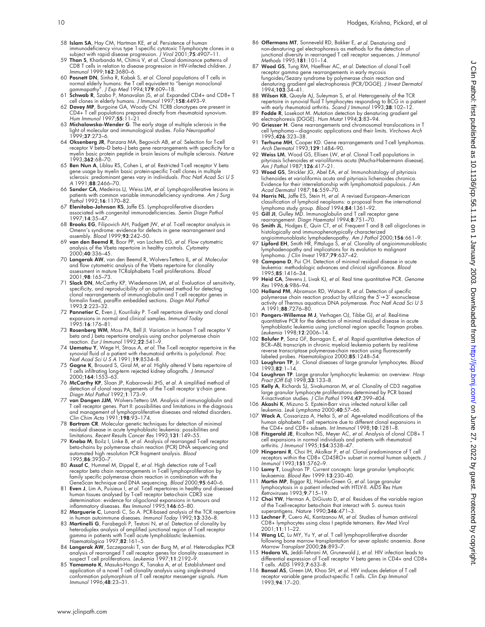$57,$ 

2022 by guest. Protected by copyright

- 58 Islam SA, Hay CM, Hartman KE, et al. Persistence of human immunodeficiency virus type 1-specific cytotoxic T-lymphocyte clones in a<br>subject with rapid disease progression. *J Virol* 2001;**75**:4907–11.
- 59 Than S, Kharbanda M, Chitnis V, et al. Clonal dominance patterns of CD8 T cells in relation to disease progression in HIV-infected children. J Immunol 1999;162:3680–6.
- 60 Posnett DN, Sinha R, Kabak S, et al. Clonal populations of T cells in
- normal elderly humans: the T cell equivalent to "benign monoclonal<br>gammapathy". J Exp Med 1994;**179:**609–18.<br>61 **Schwab R**, Szabo P, Manavalan JS, *et al.* Expanded CD4+ and CD8+ T<br>cell clones in elderly humans. J Immunol
- 62 Davey MP, Burgoine GA, Woody CN. TCRB clonotypes are present in CD4+ T cell populations prepared directly from rheumatoid synovium. Hum Immunol 1997;55:11–21.
- 63 Michalowska-Wender G. The early stage of multiple sclerosis in the light of molecular and immunological studies. *Folia Neuropathol*<br>1999;**37**:273–6.
- 64 Oksenberg JR, Panzara MA, Begovich AB, et al. Selection for T-cell receptor V beta–D beta–J beta gene rearrangements with specificity for a<br>myelin basic protein peptide in brain lesions of multiple sclerosis. *Nature*<br>1993;**362**:68–70.
- 65 Ben Nun A, Liblau RS, Cohen L, et al. Restricted T-cell receptor V beta gene usage by myelin basic protein-specific T-cell clones in multiple sclerosis: predominant genes vary in individuals. Proc Natl Acad Sci U S A 1991;**88**:2466–70.
- 66 Sander CA, Medeiros LJ, Weiss LM, et al. Lymphoproliferative lesions in patients with common variable immunodeficiency syndrome. Am J Surg Pathol 1992;**16**:1170–82.
- 67 Elenitoba-Johnson KS, Jaffe ES. Lymphoproliferative disorders associated with congenital immunodeficiencies. Semin Diagn Pathol 1997;14:35–47.
- 68 Brooks EG, Filipovich AH, Padgett JW, et al. T-cell receptor analysis in Omenn's syndrome: evidence for defects in gene rearrangement and assembly. Blood 1999;93:242–50.
- 69 van den Beemd R, Boor PP, van Lochem EG, et al. Flow cytometric analysis of the Vbeta repertoire in healthy controls. Cytometry 2000;40:336–45.
- 70 Langerak AW, van den Beemd R, Wolvers-Tettero IL, et al. Molecular and flow cytometric analysis of the Vbeta repertoire for clonality assessment in mature TCRalphabeta T-cell proliferations. Blood 2001;98:165–73.
- 71 Slack DN, McCarthy KP, Wiedemanm LM, et al. Evaluation of sensitivity, specificity, and reproducibility of an optimised method for detecting clonal rearrangements of immunoglobulin and T cell receptor genes in formalin fixed, paraffin embedded sections. Diagn Mol Pathol 1993;2:223–32.
- 72 Pannetier C, Even J, Kourilisky P. T-cell repertoire diversity and clonal expansions in normal and clinical samples. Immunol Today 1995:16:176–81.
- 73 Rosenberg WM, Moss PA, Bell JI. Variation in human T cell receptor V beta and J beta repertoire analysis using anchor polymerase chain reaction. Eur J Immunol 1992;22:541–9.
- 74 Uematsu Y, Wege H, Straus A, et al. The T-cell receptor repertoire in the synovial fluid of a patient with rheumatoid arthritis is polyclonal. Proc Natl Acad Sci U S A 1991;19:8534–8.
- 75 Gagne K, Brouard S, Giral M, et al. Highly altered V beta repertoire of T cells infiltrating long-term rejected kidney allografts. *J Immunol*<br>2000;**164**:1553–63.
- 76 McCarthy KP, Sloan JP, Kabarowski JHS, et al. A simplified method of detection of clonal rearrangements of the T-cell receptor γ chain gene. Diagn Mol Pathol 1992;1:173–9.
- 77 van Dongen JJM, Wolvers-Tettero LM. Analysis of immunoglobulin and T cell receptor genes. Part II: possibilities and limitations in the diagnosis and management of lymphoproliferative diseases and related disorders. Clin Chim Acta 1991;198:93–174.
- 78 Bartram CR. Molecular genetic techniques for detection of minimal residual disease in acute lymphoblastic leukemia: possibilities and limitations. Recent Results Cancer Res 1993;131:149–55.
- 79 Kneba M, Boilz I, Linke B, et al. Analysis of rearranged T-cell receptor beta-chains by polymerase chain reaction (PCR) DNA sequencing and automated high resolution PCR fragment analysis. Blood 1995;86:3930–7.
- 80 Assaf C, Hummel M, Dippel E, et al. High detection rate of T-cell receptor beta chain rearrangements in T-cell lymphoproliferation by family specific polymerase chain reaction in combination with the GeneScan technique and DNA sequencing. Blood 2000;95:640-6.
- 81 Even J, Lim A, Puisieux I, et al. T-cell repertoires in healthy and diseased human tissues analysed by T-cell receptor beta-chain CDR3 size determination: evidence for oligoclonal expansions in tumours and<br>inflammatory diseases. Res Immunol 1995;146:65-80.<br>Marguerie C, Lunardi C, So A. PCR-based analysis of the TCR repertoire<br>in human autoimmune diseases. Immu
- 
- 83 Martinelli G, Farabegoli P, Testoni N, *et al*. Detection of clonality by<br>heteroduplex analysis of amplified junctional region of T-cell receptor<br>gamma in patients with T-cell acute lymphoblastic leukemias. Haematologica 1997;82:161–5.
- 84 Langerak AW, Szczepanski T, van der Burg M, et al. Heteroduplex PCR analysis of rearranged T cell receptor genes for clonality assessment in suspect T cell proliferations. Leukemia 1997;11:2192–9.
- 85 Yamamoto K, Masuko-Hongo K, Tanaka A, *et al.* Establishment and application of a novel T cell clonality analysis using single-strand conformation polymorphism of T cell receptor messenger signals. Hum Immunol 1996;48:23–31.
- 86 Offermans MT, Sonneveld RD, Bakker E, et al. Denaturing and non-denaturing gel electrophoresis as methods for the detection of junctional diversity in rearranged T cell receptor sequences. J Immunol Methods 1995;181:101-14.
- 87 Wood GS, Tung RM, Haeffner AC, et al. Detection of clonal T-cell receptor gamma gene rearrangements in early mycosis<br>fungoides/Sezary syndrome by polymerase chain reaction and<br>denaturing gradient gel electrophoresis (PCR/DGGE). *J Invest Dermatol*<br>1994;**103**:34–41.
- 88 Wilson KB, Quayle AJ, Suleyman S, et al. Heterogeneity of the TCR repertoire in synovial fluid T lymphocytes responding to BCG in a patient<br>with early rheumatoid arthritis. *Scand J Immunol* 1993;**38**:102–12.
- 89 Fodde R, Losekoot M. Mutation detection by denaturing gradient gel electrophoresis (DGGE). Hum Mutat 1994;3:83-94. 90 Griesser H. Gene rearrangements and chromosomal translocations in T
- cell lymphoma—diagnostic applications and their limits. Virchows Arch 1995;426:323–38.
- 91 Terhune MH, Cooper KD. Gene rearrangements and T-cell lymphomas. Arch Dermatol 1993;129:1484–90.
- 92 Weiss LM, Wood GS, Ellisen LW, et al. Clonal T-cell populations in pityriasis lichenoides et varioliformis acuta (Mucha-Habermann disease).<br>A*m J Pathol* 1987;**126**:417–21.
- 93 Wood GS, Strickler JG, Abel EA, et al. Immunohistology of pityriasis lichenoides et varioliformis acuta and pityriasis lichenoides chronica. Evidence for their interrelationship with lymphomatoid papulosis. J Am Acad Dermatol 1987;16:559–70.
- 94 Harris NL, Jaffe ES, Stein H, et al. A revised European-American classification of lymphoid neoplasms: a proposal from the international
- lymphoma study group. *Blood* 1994;**84**:1361–92.<br>95 **Gill JI**, Gulley MD. Immunoglobulin and T cell receptor gene<br>rearrangement. Diagn Haematol 1994;**8**:751–70.<br>96 **Smith JL**, Hodges E, Quin CT, et al. Frequent T and B cel
- 
- histologically and immunophenotypically characterized<br>angioimmunoblastic lymphadenopathy. Am J Pathol 2000;1**56**:661–9.<br>97 Lipford EH, Smith HR, Pittaluga S, *et al*. Clonality of angioimmunoblastic lymphadenopathy and implications for its evolution to malignant<br>lymphoma. *J Clin Invest* 1987;**79**:637–42.<br>98 **Campana D**, Pui CH. Detection of minimal residual disease in acute
- leukemia: methodologic advances and clinical significance. Blood 1995;85:1416–34.
- 99 Heid CA, Stevens J, Livak KJ, et al. Real time quantitative PCR. Genome Res 1996;6:986–94.
- 100 **Holland PM**, Abramson RD, Watson R, *et al.* Detection of specific polymerase chain reaction product by utilizing the 5′→3′ exonuclease activity of Thermus aquaticus DNA polymerase. *Proc Natl Acad Sci U S* 4 1991;**88**:7276–80.
- 101 Pongers-Willemse M J, Verhagen OJ, Tibbe GJ, et al. Real-time quantitative PCR for the detection of minimal residual disease in acute lymphoblastic leukemia using junctional region specific Taqman probes. Leukemia 1998;12:2006–14.
- 102 Bolufer P, Sanz GF, Barragan E, et al. Rapid quantitative detection of BCR–ABL transcripts in chronic myeloid leukemia patients by real-time reverse transcriptase polymerase-chain reaction using fluorescently labeled probes. Haematologica 2000;85:1248–54.
- 103 Loughran TP, Jr. Clonal diseases of large granular lymphocytes. Blood  $1993.82.1 - 14$
- 104 Loughran TP. Large granular lymphocytic leukemia: an overview. Hosp Pract (Off Ed) 1998;33:133-8. 105 Kelly A, Richards SJ, Sivakumaran M, et al. Clonality of CD3 negative
- large granular lymphocyte proliferations determined by PCR based X-inactivation studies. J Clin Pathol 1994;47:399–404.
- 106 Akashi K, Mizuno S. Epstein-Barr virus infected natural killer cell leukemia. Leuk Lymphoma 2000;40:57–66.
- 107 Wack A, Cossarizza A, Heltai S, et al. Age-related modifications of the human alphabeta T cell repertoire due to different clonal expansions in the CD4+ and CD8+ subsets. Int Immunol 1998;10:1281–8.
- 108 Fitzgerald JE, Ricalton NS, Meyer AC, et al. Analysis of clonal CD8+ T cell expansions in normal individuals and patients with rheumatoid arthritis. J Immunol 1995;154:3538–47.
- 109 **Hingorani R**, Choi IH, Akolkar P, *et al*. Clonal predominance of T cell<br>receptors within the CD8+ CD45RO+ subset in normal human subjects. J Immunol 1993;151:5762–9.
- 110 Lamy T, Loughran TP. Current concepts: large granular lymphocytic leukaemia. Blood Rev 1999:13:230–40.
- 111 Martin MP, Biggar RJ, Hamlin-Green G, *et al*. Large granular<br>lymphocytosis in a patient infected with HTLV-II. *AIDS Res Hum* Retroviruses 1993;9:715–19.
- 112 Choi YW, Herman A, DiGiusto D, et al. Residues of the variable region of the T-cell-receptor beta-chain that interact with S. aureus toxin<br>superantigens. *Nature* 1990;**346**:471–3.
- 113 Lechner F, Cuero AL, Kantzanou M, et al. Studies of human antiviral CD8+ lymphocytes using class I peptide tetramers. Rev Med Virol  $2001:11:11-22$ .
- 114 Wang LC, Lu MY, Yu Y, et al. T cell lymphoproliferative disorder following bone marrow transplantation for sever aplastic anaemia. Bone Marrow Transplant 2000;26:893–7.
- 115 **Hodara VL**, Jeddi-Tehrani M, Grunewald J, *et al*. HIV infection leads to<br>differential expression of T-cell receptor V beta genes in CD4+ and CD8+ T cells. AIDS 1993;7:633–8.
- 116 Bansal AS, Green LM, Khoo SH, et al. HIV induces deletion of T cell receptor variable gene product-specific T cells. Clin Exp Immunol 1993;94:17–20.